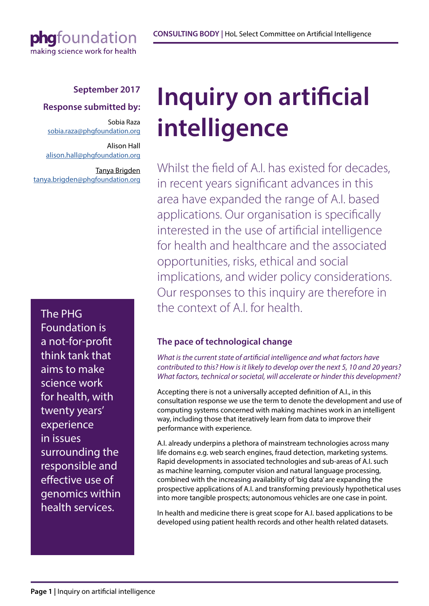## **September 2017**

## **Response submitted by:**

Sobia Raza sobia.raza@phgfoundation.org

[Alison Hall](mailto:laura.blackburn@phgfoundation.org ) [alison.hall@phgfoundation.org](mailto:alison.hall@phgfoundation.org )

[Tanya Brigden](mailto:alison.hall@phgfoundation.org ) [tanya.brigden@phgfoundation.org](mailto:alison.hall@phgfoundation.org )

The PHG Foundation is a not-for-profit think tank that aims to make science work for health, with twenty years' experience in issues surrounding the responsible and effective use of genomics within health services.

# **Inquiry on artificial intelligence**

Whilst the field of A.I. has existed for decades, in recent years significant advances in this area have expanded the range of A.I. based applications. Our organisation is specifically interested in the use of artificial intelligence for health and healthcare and the associated opportunities, risks, ethical and social implications, and wider policy considerations. Our responses to this inquiry are therefore in the context of A.I. for health.

## **The pace of technological change**

*What is the current state of artificial intelligence and what factors have contributed to this? How is it likely to develop over the next 5, 10 and 20 years? What factors, technical or societal, will accelerate or hinder this development?*

Accepting there is not a universally accepted definition of A.I., in this consultation response we use the term to denote the development and use of computing systems concerned with making machines work in an intelligent way, including those that iteratively learn from data to improve their performance with experience.

A.I. already underpins a plethora of mainstream technologies across many life domains e.g. web search engines, fraud detection, marketing systems. Rapid developments in associated technologies and sub-areas of A.I. such as machine learning, computer vision and natural language processing, combined with the increasing availability of 'big data' are expanding the prospective applications of A.I. and transforming previously hypothetical uses into more tangible prospects; autonomous vehicles are one case in point.

In health and medicine there is great scope for A.I. based applications to be developed using patient health records and other health related datasets.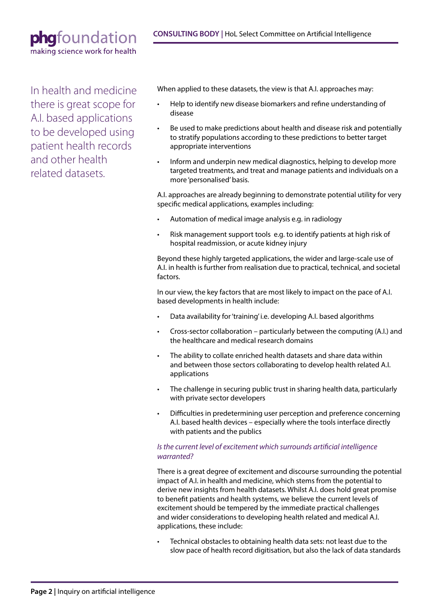In health and medicine there is great scope for A.I. based applications to be developed using patient health records and other health related datasets.

When applied to these datasets, the view is that A.I. approaches may:

- Help to identify new disease biomarkers and refine understanding of disease
- Be used to make predictions about health and disease risk and potentially to stratify populations according to these predictions to better target appropriate interventions
- Inform and underpin new medical diagnostics, helping to develop more targeted treatments, and treat and manage patients and individuals on a more 'personalised' basis.

A.I. approaches are already beginning to demonstrate potential utility for very specific medical applications, examples including:

- Automation of medical image analysis e.g. in radiology
- Risk management support tools e.g. to identify patients at high risk of hospital readmission, or acute kidney injury

Beyond these highly targeted applications, the wider and large-scale use of A.I. in health is further from realisation due to practical, technical, and societal factors.

In our view, the key factors that are most likely to impact on the pace of A.I. based developments in health include:

- Data availability for 'training' i.e. developing A.I. based algorithms
- Cross-sector collaboration particularly between the computing (A.I.) and the healthcare and medical research domains
- The ability to collate enriched health datasets and share data within and between those sectors collaborating to develop health related A.I. applications
- The challenge in securing public trust in sharing health data, particularly with private sector developers
- Difficulties in predetermining user perception and preference concerning A.I. based health devices – especially where the tools interface directly with patients and the publics

#### *Is the current level of excitement which surrounds artificial intelligence warranted?*

There is a great degree of excitement and discourse surrounding the potential impact of A.I. in health and medicine, which stems from the potential to derive new insights from health datasets. Whilst A.I. does hold great promise to benefit patients and health systems, we believe the current levels of excitement should be tempered by the immediate practical challenges and wider considerations to developing health related and medical A.I. applications, these include:

• Technical obstacles to obtaining health data sets: not least due to the slow pace of health record digitisation, but also the lack of data standards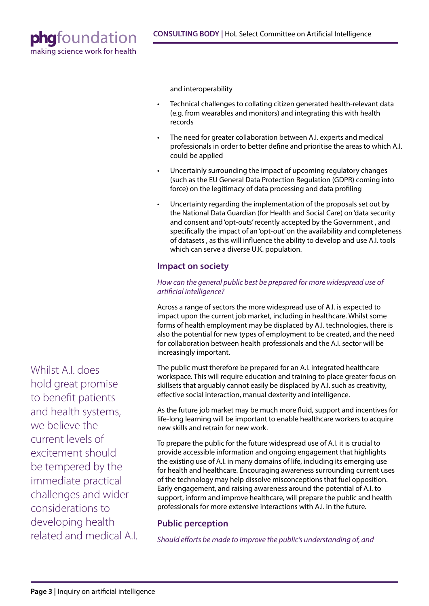

and interoperability

- Technical challenges to collating citizen generated health-relevant data (e.g. from wearables and monitors) and integrating this with health records
- The need for greater collaboration between A.I. experts and medical professionals in order to better define and prioritise the areas to which A.I. could be applied
- Uncertainly surrounding the impact of upcoming regulatory changes (such as the EU General Data Protection Regulation (GDPR) coming into force) on the legitimacy of data processing and data profiling
- Uncertainty regarding the implementation of the proposals set out by the National Data Guardian (for Health and Social Care) on 'data security and consent and 'opt-outs' recently accepted by the Government , and specifically the impact of an 'opt-out' on the availability and completeness of datasets , as this will influence the ability to develop and use A.I. tools which can serve a diverse U.K. population.

#### **Impact on society**

#### *How can the general public best be prepared for more widespread use of artificial intelligence?*

Across a range of sectors the more widespread use of A.I. is expected to impact upon the current job market, including in healthcare. Whilst some forms of health employment may be displaced by A.I. technologies, there is also the potential for new types of employment to be created, and the need for collaboration between health professionals and the A.I. sector will be increasingly important.

The public must therefore be prepared for an A.I. integrated healthcare workspace. This will require education and training to place greater focus on skillsets that arguably cannot easily be displaced by A.I. such as creativity, effective social interaction, manual dexterity and intelligence.

As the future job market may be much more fluid, support and incentives for life-long learning will be important to enable healthcare workers to acquire new skills and retrain for new work.

To prepare the public for the future widespread use of A.I. it is crucial to provide accessible information and ongoing engagement that highlights the existing use of A.I. in many domains of life, including its emerging use for health and healthcare. Encouraging awareness surrounding current uses of the technology may help dissolve misconceptions that fuel opposition. Early engagement, and raising awareness around the potential of A.I. to support, inform and improve healthcare, will prepare the public and health professionals for more extensive interactions with A.I. in the future.

### **Public perception**

*Should efforts be made to improve the public's understanding of, and* 

Whilst A.I. does hold great promise to benefit patients and health systems, we believe the current levels of excitement should be tempered by the immediate practical challenges and wider considerations to developing health related and medical A.I.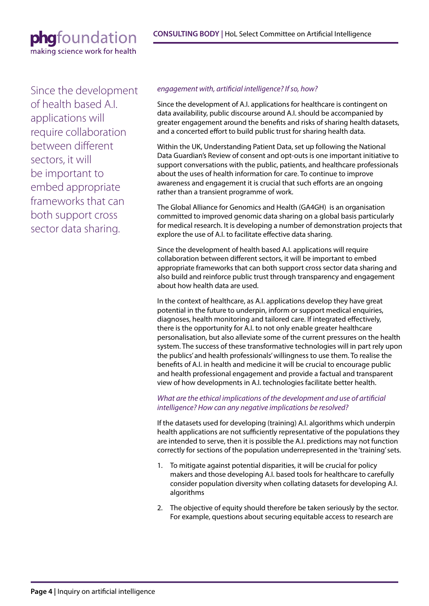Since the development of health based A.I. applications will require collaboration between different sectors, it will be important to embed appropriate frameworks that can both support cross sector data sharing.

#### *engagement with, artificial intelligence? If so, how?*

Since the development of A.I. applications for healthcare is contingent on data availability, public discourse around A.I. should be accompanied by greater engagement around the benefits and risks of sharing health datasets, and a concerted effort to build public trust for sharing health data.

Within the UK, Understanding Patient Data, set up following the National Data Guardian's Review of consent and opt-outs is one important initiative to support conversations with the public, patients, and healthcare professionals about the uses of health information for care. To continue to improve awareness and engagement it is crucial that such efforts are an ongoing rather than a transient programme of work.

The Global Alliance for Genomics and Health (GA4GH) is an organisation committed to improved genomic data sharing on a global basis particularly for medical research. It is developing a number of demonstration projects that explore the use of A.I. to facilitate effective data sharing.

Since the development of health based A.I. applications will require collaboration between different sectors, it will be important to embed appropriate frameworks that can both support cross sector data sharing and also build and reinforce public trust through transparency and engagement about how health data are used.

In the context of healthcare, as A.I. applications develop they have great potential in the future to underpin, inform or support medical enquiries, diagnoses, health monitoring and tailored care. If integrated effectively, there is the opportunity for A.I. to not only enable greater healthcare personalisation, but also alleviate some of the current pressures on the health system. The success of these transformative technologies will in part rely upon the publics' and health professionals' willingness to use them. To realise the benefits of A.I. in health and medicine it will be crucial to encourage public and health professional engagement and provide a factual and transparent view of how developments in A.I. technologies facilitate better health.

*What are the ethical implications of the development and use of artificial intelligence? How can any negative implications be resolved?*

If the datasets used for developing (training) A.I. algorithms which underpin health applications are not sufficiently representative of the populations they are intended to serve, then it is possible the A.I. predictions may not function correctly for sections of the population underrepresented in the 'training' sets.

- 1. To mitigate against potential disparities, it will be crucial for policy makers and those developing A.I. based tools for healthcare to carefully consider population diversity when collating datasets for developing A.I. algorithms
- 2. The objective of equity should therefore be taken seriously by the sector. For example, questions about securing equitable access to research are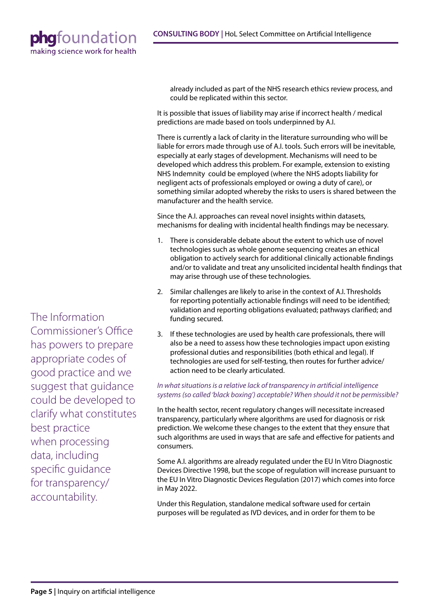> already included as part of the NHS research ethics review process, and could be replicated within this sector.

It is possible that issues of liability may arise if incorrect health / medical predictions are made based on tools underpinned by A.I.

There is currently a lack of clarity in the literature surrounding who will be liable for errors made through use of A.I. tools. Such errors will be inevitable, especially at early stages of development. Mechanisms will need to be developed which address this problem. For example, extension to existing NHS Indemnity could be employed (where the NHS adopts liability for negligent acts of professionals employed or owing a duty of care), or something similar adopted whereby the risks to users is shared between the manufacturer and the health service.

Since the A.I. approaches can reveal novel insights within datasets, mechanisms for dealing with incidental health findings may be necessary.

- 1. There is considerable debate about the extent to which use of novel technologies such as whole genome sequencing creates an ethical obligation to actively search for additional clinically actionable findings and/or to validate and treat any unsolicited incidental health findings that may arise through use of these technologies.
- 2. Similar challenges are likely to arise in the context of A.I. Thresholds for reporting potentially actionable findings will need to be identified; validation and reporting obligations evaluated; pathways clarified; and funding secured.
- 3. If these technologies are used by health care professionals, there will also be a need to assess how these technologies impact upon existing professional duties and responsibilities (both ethical and legal). If technologies are used for self-testing, then routes for further advice/ action need to be clearly articulated.

#### *In what situations is a relative lack of transparency in artificial intelligence systems (so called 'black boxing') acceptable? When should it not be permissible?*

In the health sector, recent regulatory changes will necessitate increased transparency, particularly where algorithms are used for diagnosis or risk prediction. We welcome these changes to the extent that they ensure that such algorithms are used in ways that are safe and effective for patients and consumers.

Some A.I. algorithms are already regulated under the EU In Vitro Diagnostic Devices Directive 1998, but the scope of regulation will increase pursuant to the EU In Vitro Diagnostic Devices Regulation (2017) which comes into force in May 2022.

Under this Regulation, standalone medical software used for certain purposes will be regulated as IVD devices, and in order for them to be

The Information Commissioner's Office has powers to prepare appropriate codes of good practice and we suggest that guidance could be developed to clarify what constitutes best practice when processing data, including specific guidance for transparency/ accountability.